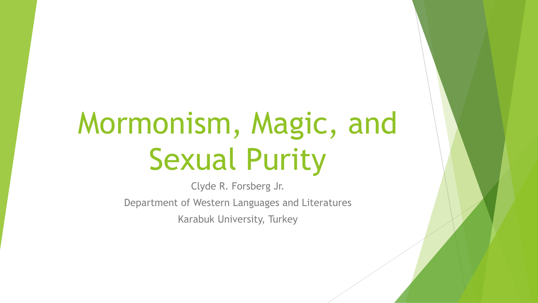## Mormonism, Magic, and Sexual Purity

Clyde R. Forsberg Jr. Department of Western Languages and Literatures Karabuk University, Turkey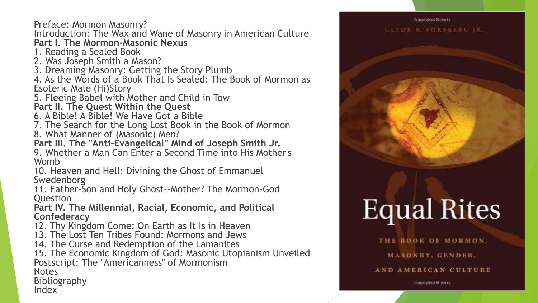Preface: Mormon Masonry?

Introduction: The Wax and Wane of Masonry in American Culture **Part I. The Mormon-Masonic Nexus**

1. Reading a Sealed Book

2. Was Joseph Smith a Mason?

3. Dreaming Masonry: Getting the Story Plumb

4. As the Words of a Book That Is Sealed: The Book of Mormon as Esoteric Male (Hi)Story

5. Fleeing Babel with Mother and Child in Tow

**Part II. The Quest Within the Quest**

6. A Bible! A Bible! We Have Got a Bible

7. The Search for the Long Lost Book in the Book of Mormon

8. What Manner of (Masonic) Men?

**Part III. The "Anti-Evangelical'' Mind of Joseph Smith Jr.** 9. Whether a Man Can Enter a Second Time into His Mother's Womb

10. Heaven and Hell: Divining the Ghost of Emmanuel Swedenborg

11. Father-Son and Holy Ghost--Mother? The Mormon-God **Ouestion** 

**Part IV. The Millennial, Racial, Economic, and Political Confederacy**

12. Thy Kingdom Come: On Earth as It Is in Heaven

13. The Lost Ten Tribes Found: Mormons and Jews

14. The Curse and Redemption of the Lamanites

15. The Economic Kingdom of God: Masonic Utopianism Unveiled Postscript: The "Americanness'' of Mormonism

**Notes** 

Bibliography

Index

# Copyrighted Material CLYDE R. FORSBERG JR.

## **Equal Rites**

THE BOOK OF MORMON. MASONRY, GENDER,

AND AMERICAN CULTURE

Constighted Material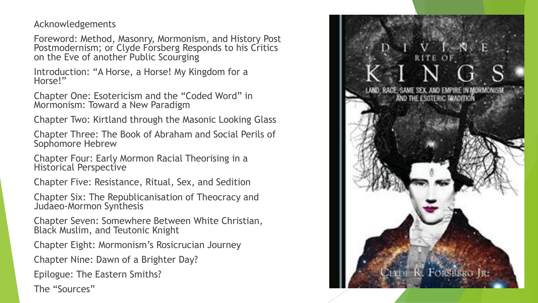Acknowledgements

Foreword: Method, Masonry, Mormonism, and History Post Postmodernism; or Clyde Forsberg Responds to his Critics on the Eve of another Public Scourging

Introduction: "A Horse, a Horse! My Kingdom for a Horse!"

Chapter One: Esotericism and the "Coded Word" in Mormonism: Toward a New Paradigm

Chapter Two: Kirtland through the Masonic Looking Glass

Chapter Three: The Book of Abraham and Social Perils of Sophomore Hebrew

Chapter Four: Early Mormon Racial Theorising in a Historical Perspective

Chapter Five: Resistance, Ritual, Sex, and Sedition

Chapter Six: The Republicanisation of Theocracy and Judaeo-Mormon Synthesis

Chapter Seven: Somewhere Between White Christian, Black Muslim, and Teutonic Knight

Chapter Eight: Mormonism's Rosicrucian Journey

Chapter Nine: Dawn of a Brighter Day?

Epilogue: The Eastern Smiths?

The "Sources"

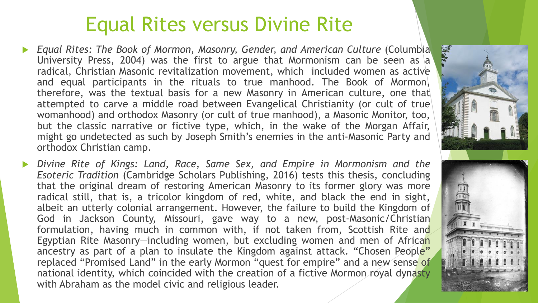#### Equal Rites versus Divine Rite

- *Equal Rites: The Book of Mormon, Masonry, Gender, and American Culture* (Columbia University Press, 2004) was the first to argue that Mormonism can be seen as  $|a|$ radical, Christian Masonic revitalization movement, which included women as active and equal participants in the rituals to true manhood. The Book of Mormon, therefore, was the textual basis for a new Masonry in American culture, one that attempted to carve a middle road between Evangelical Christianity (or cult of true womanhood) and orthodox Masonry (or cult of true manhood), a Masonic Monitor, too, but the classic narrative or fictive type, which, in the wake of the Morgan Affair, might go undetected as such by Joseph Smith's enemies in the anti-Masonic Party and orthodox Christian camp.
- *Divine Rite of Kings: Land, Race, Same Sex, and Empire in Mormonism and the Esoteric Tradition* (Cambridge Scholars Publishing, 2016) tests this thesis, concluding that the original dream of restoring American Masonry to its former glory was more radical still, that is, a tricolor kingdom of red, white, and black the end in sight, albeit an utterly colonial arrangement. However, the failure to build the Kingdom of God in Jackson County, Missouri, gave way to a new, post-Masonic/Christian formulation, having much in common with, if not taken from, Scottish Rite and Egyptian Rite Masonry-including women, but excluding women and men of African ancestry as part of a plan to insulate the Kingdom against attack. "Chosen People" replaced "Promised Land" in the early Mormon "quest for empire" and a new sense of national identity, which coincided with the creation of a fictive Mormon royal dynasty with Abraham as the model civic and religious leader.

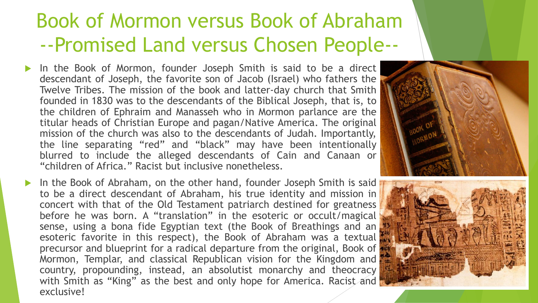#### Book of Mormon versus Book of Abraham --Promised Land versus Chosen People--

- In the Book of Mormon, founder Joseph Smith is said to be a direct descendant of Joseph, the favorite son of Jacob (Israel) who fathers the Twelve Tribes. The mission of the book and latter-day church that Smith founded in 1830 was to the descendants of the Biblical Joseph, that is, to the children of Ephraim and Manasseh who in Mormon parlance are the titular heads of Christian Europe and pagan/Native America. The original mission of the church was also to the descendants of Judah. Importantly, the line separating "red" and "black" may have been intentionally blurred to include the alleged descendants of Cain and Canaan or "children of Africa." Racist but inclusive nonetheless.
- In the Book of Abraham, on the other hand, founder Joseph Smith is said to be a direct descendant of Abraham, his true identity and mission in concert with that of the Old Testament patriarch destined for greatness before he was born. A "translation" in the esoteric or occult/magical sense, using a bona fide Egyptian text (the Book of Breathings and an esoteric favorite in this respect), the Book of Abraham was a textual precursor and blueprint for a radical departure from the original, Book of Mormon, Templar, and classical Republican vision for the Kingdom and country, propounding, instead, an absolutist monarchy and theocracy with Smith as "King" as the best and only hope for America. Racist and exclusive!



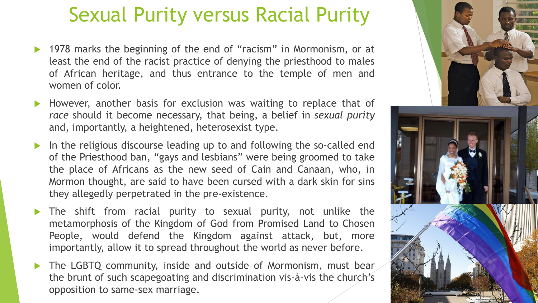#### Sexual Purity versus Racial Purity

- ▶ 1978 marks the beginning of the end of "racism" in Mormonism, or at least the end of the racist practice of denying the priesthood to males of African heritage, and thus entrance to the temple of men and women of color.
- However, another basis for exclusion was waiting to replace that of *race* should it become necessary, that being, a belief in *sexual purity* and, importantly, a heightened, heterosexist type.
- In the religious discourse leading up to and following the so-called end of the Priesthood ban, "gays and lesbians" were being groomed to take the place of Africans as the new seed of Cain and Canaan, who, in Mormon thought, are said to have been cursed with a dark skin for sins they allegedly perpetrated in the pre-existence.
- The shift from racial purity to sexual purity, not unlike the metamorphosis of the Kingdom of God from Promised Land to Chosen People, would defend the Kingdom against attack, but, more importantly, allow it to spread throughout the world as never before.
- The LGBTQ community, inside and outside of Mormonism, must bear the brunt of such scapegoating and discrimination vis-à-vis the church's opposition to same-sex marriage.

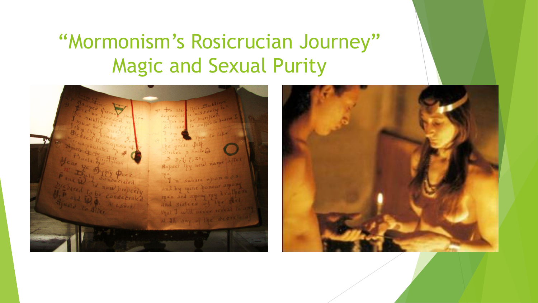### "Mormonism's Rosicrucian Journey" Magic and Sexual Purity

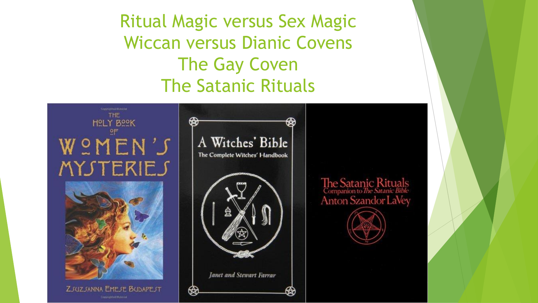Ritual Magic versus Sex Magic Wiccan versus Dianic Covens The Gay Coven The Satanic Rituals